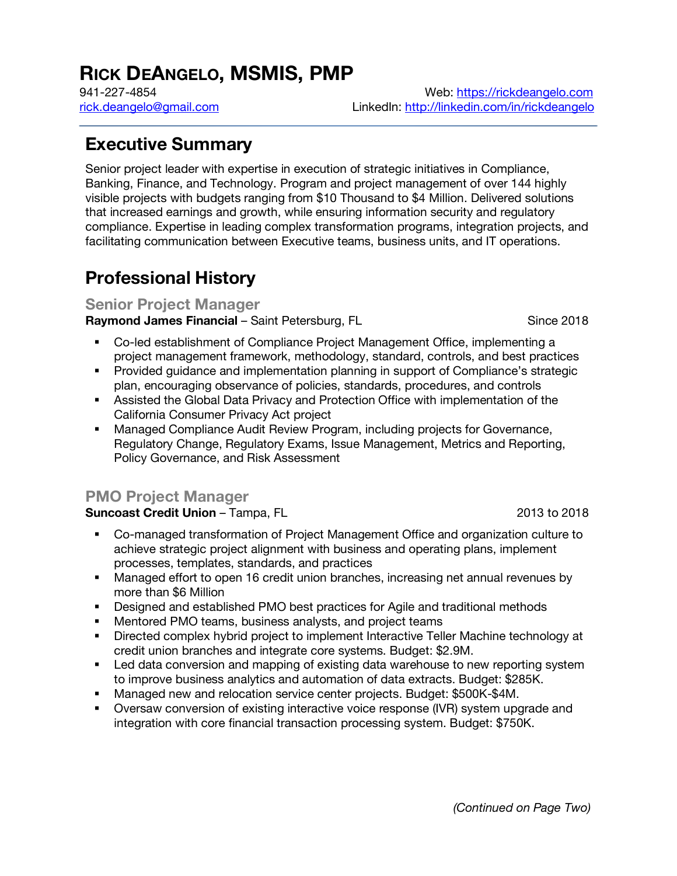# **RICK DEANGELO, MSMIS, PMP**

941-227-4854 Web: https://rickdeangelo.com rick.deangelo@gmail.com LinkedIn: http://linkedin.com/in/rickdeangelo

# **Executive Summary**

Senior project leader with expertise in execution of strategic initiatives in Compliance, Banking, Finance, and Technology. Program and project management of over 144 highly visible projects with budgets ranging from \$10 Thousand to \$4 Million. Delivered solutions that increased earnings and growth, while ensuring information security and regulatory compliance. Expertise in leading complex transformation programs, integration projects, and facilitating communication between Executive teams, business units, and IT operations.

# **Professional History**

#### **Senior Project Manager**

**Raymond James Financial** – Saint Petersburg, FL Saince 2018

- § Co-led establishment of Compliance Project Management Office, implementing a project management framework, methodology, standard, controls, and best practices
- § Provided guidance and implementation planning in support of Compliance's strategic plan, encouraging observance of policies, standards, procedures, and controls
- **Assisted the Global Data Privacy and Protection Office with implementation of the** California Consumer Privacy Act project
- § Managed Compliance Audit Review Program, including projects for Governance, Regulatory Change, Regulatory Exams, Issue Management, Metrics and Reporting, Policy Governance, and Risk Assessment

### **PMO Project Manager**

#### **Suncoast Credit Union** – Tampa, FL 2013 to 2018

- Co-managed transformation of Project Management Office and organization culture to achieve strategic project alignment with business and operating plans, implement processes, templates, standards, and practices
- Managed effort to open 16 credit union branches, increasing net annual revenues by more than \$6 Million
- § Designed and established PMO best practices for Agile and traditional methods
- Mentored PMO teams, business analysts, and project teams
- § Directed complex hybrid project to implement Interactive Teller Machine technology at credit union branches and integrate core systems. Budget: \$2.9M.
- Led data conversion and mapping of existing data warehouse to new reporting system to improve business analytics and automation of data extracts. Budget: \$285K.
- § Managed new and relocation service center projects. Budget: \$500K-\$4M.
- § Oversaw conversion of existing interactive voice response (IVR) system upgrade and integration with core financial transaction processing system. Budget: \$750K.